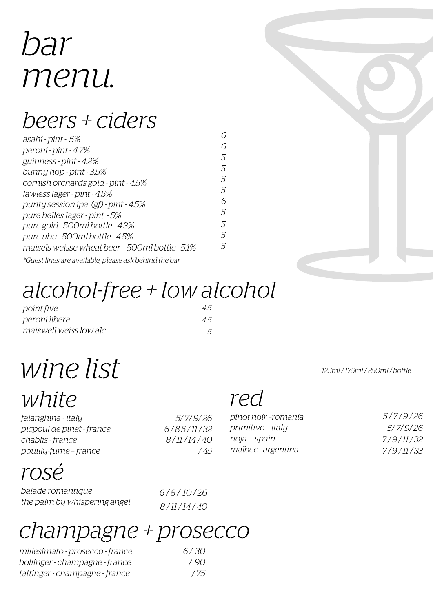# bar menu.

### beers + ciders

| asahi - pint - 5%                                     | 6             |
|-------------------------------------------------------|---------------|
| peroni - pint - 4.7%                                  | 6             |
| guinness - pint - 4.2%                                | 5             |
| bunny hop - pint $-3.5\%$                             | 5             |
| cornish orchards gold - pint - 4.5%                   | 5.            |
| lawless lager - pint - 4.5%                           | 5             |
| purity session ipa (gf) - pint - 4.5%                 | 6             |
| pure helles lager - pint - 5%                         | 5             |
| pure gold - 500ml bottle - 4.3%                       | 5             |
| pure ubu - 500ml bottle - 4.5%                        | 5             |
| maisels weisse wheat beer - 500ml bottle - 5.1%       | $\mathcal{F}$ |
| *Guest lines are available, please ask behind the bar |               |

## alcohol-free + low alcohol

| point five             | 45 |
|------------------------|----|
| peroni libera          | 45 |
| maiswell weiss low alc |    |

# wine list

white

falanghina - italy picpoul de pinet - france chablis - france pouilly-fume – france

#### 5/ 7/ 9/ 26 6 / 8.5 / 11 / 32 8 / 11 / 14 / 40 / 45

### red

| pinot noir -romania | 5/7/9/26  |
|---------------------|-----------|
| primitivo - italy   | 5/7/9/26  |
| rioja - spain       | 7/9/11/32 |
| malbec - argentina  | 7/9/11/33 |

#### rosé

| balade romantique            | 6/8/10/26  |
|------------------------------|------------|
| the palm by whispering angel | 8/11/14/40 |

#### champagne + prosecco

| millesimato - prosecco - france | 6/30 |
|---------------------------------|------|
| bollinger - champagne - france  | 790  |
| tattinger - champagne - france  | 775  |



125ml / 175ml / 250ml / bottle